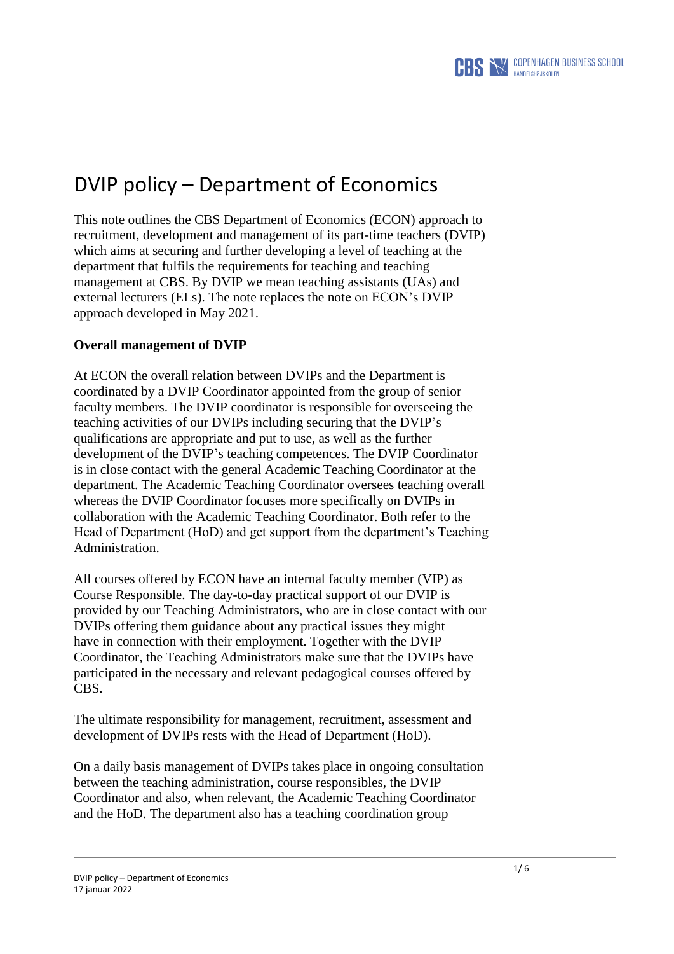

# DVIP policy – Department of Economics

This note outlines the CBS Department of Economics (ECON) approach to recruitment, development and management of its part-time teachers (DVIP) which aims at securing and further developing a level of teaching at the department that fulfils the requirements for teaching and teaching management at CBS. By DVIP we mean teaching assistants (UAs) and external lecturers (ELs). The note replaces the note on ECON's DVIP approach developed in May 2021.

# **Overall management of DVIP**

At ECON the overall relation between DVIPs and the Department is coordinated by a DVIP Coordinator appointed from the group of senior faculty members. The DVIP coordinator is responsible for overseeing the teaching activities of our DVIPs including securing that the DVIP's qualifications are appropriate and put to use, as well as the further development of the DVIP's teaching competences. The DVIP Coordinator is in close contact with the general Academic Teaching Coordinator at the department. The Academic Teaching Coordinator oversees teaching overall whereas the DVIP Coordinator focuses more specifically on DVIPs in collaboration with the Academic Teaching Coordinator. Both refer to the Head of Department (HoD) and get support from the department's Teaching Administration.

All courses offered by ECON have an internal faculty member (VIP) as Course Responsible. The day-to-day practical support of our DVIP is provided by our Teaching Administrators, who are in close contact with our DVIPs offering them guidance about any practical issues they might have in connection with their employment. Together with the DVIP Coordinator, the Teaching Administrators make sure that the DVIPs have participated in the necessary and relevant pedagogical courses offered by CBS.

The ultimate responsibility for management, recruitment, assessment and development of DVIPs rests with the Head of Department (HoD).

On a daily basis management of DVIPs takes place in ongoing consultation between the teaching administration, course responsibles, the DVIP Coordinator and also, when relevant, the Academic Teaching Coordinator and the HoD. The department also has a teaching coordination group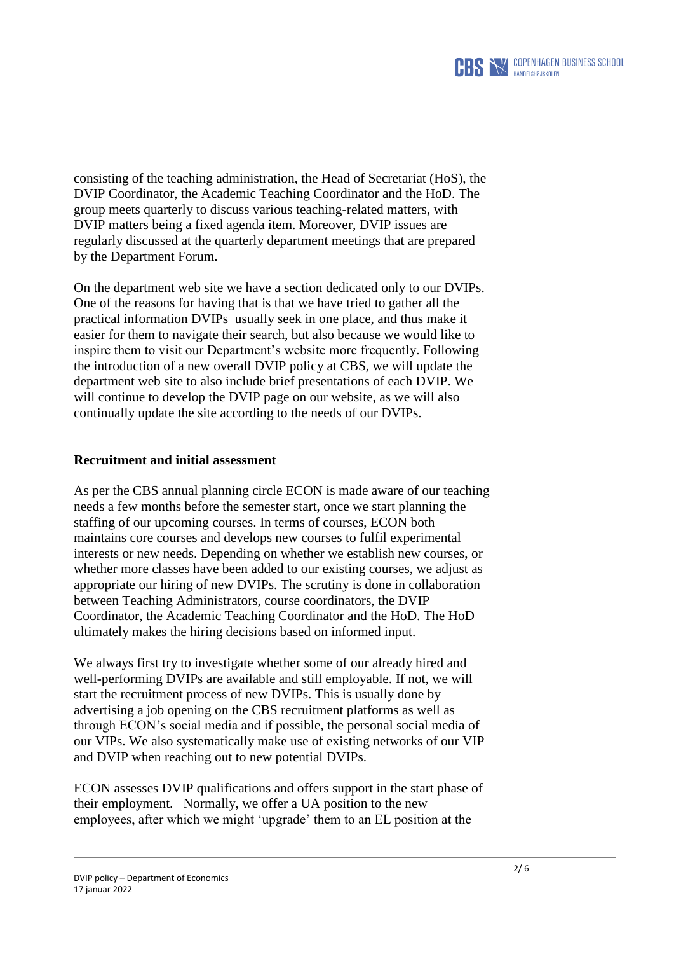

consisting of the teaching administration, the Head of Secretariat (HoS), the DVIP Coordinator, the Academic Teaching Coordinator and the HoD. The group meets quarterly to discuss various teaching-related matters, with DVIP matters being a fixed agenda item. Moreover, DVIP issues are regularly discussed at the quarterly department meetings that are prepared by the Department Forum.

On the department web site we have a section dedicated only to our DVIPs. One of the reasons for having that is that we have tried to gather all the practical information DVIPs usually seek in one place, and thus make it easier for them to navigate their search, but also because we would like to inspire them to visit our Department's website more frequently. Following the introduction of a new overall DVIP policy at CBS, we will update the department web site to also include brief presentations of each DVIP. We will continue to develop the DVIP page on our website, as we will also continually update the site according to the needs of our DVIPs.

### **Recruitment and initial assessment**

As per the CBS annual planning circle ECON is made aware of our teaching needs a few months before the semester start, once we start planning the staffing of our upcoming courses. In terms of courses, ECON both maintains core courses and develops new courses to fulfil experimental interests or new needs. Depending on whether we establish new courses, or whether more classes have been added to our existing courses, we adjust as appropriate our hiring of new DVIPs. The scrutiny is done in collaboration between Teaching Administrators, course coordinators, the DVIP Coordinator, the Academic Teaching Coordinator and the HoD. The HoD ultimately makes the hiring decisions based on informed input.

We always first try to investigate whether some of our already hired and well-performing DVIPs are available and still employable. If not, we will start the recruitment process of new DVIPs. This is usually done by advertising a job opening on the CBS recruitment platforms as well as through ECON's social media and if possible, the personal social media of our VIPs. We also systematically make use of existing networks of our VIP and DVIP when reaching out to new potential DVIPs.

ECON assesses DVIP qualifications and offers support in the start phase of their employment. Normally, we offer a UA position to the new employees, after which we might 'upgrade' them to an EL position at the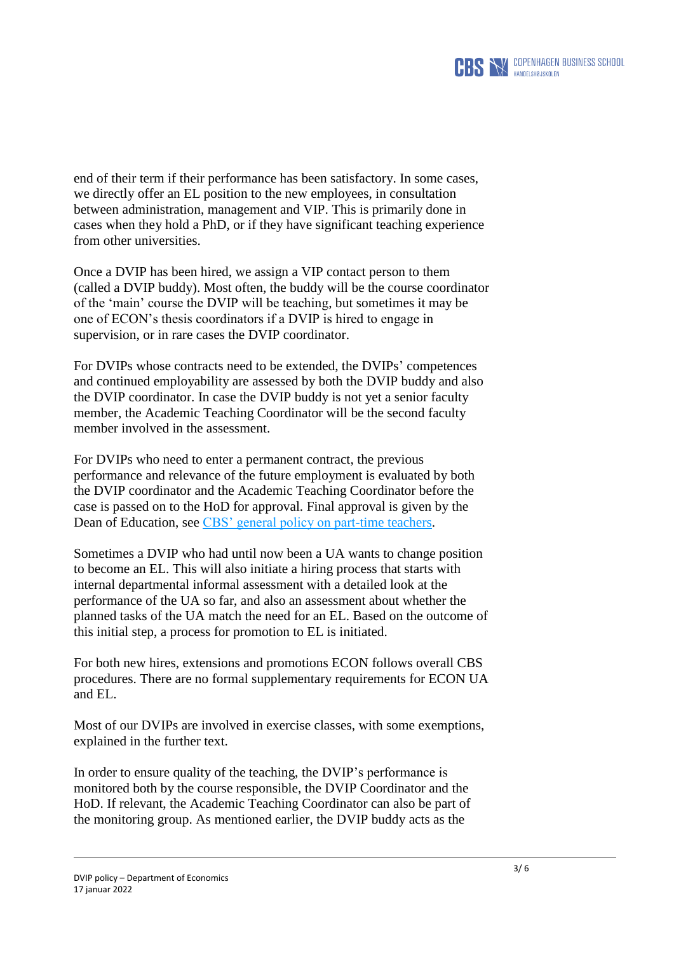

end of their term if their performance has been satisfactory. In some cases, we directly offer an EL position to the new employees, in consultation between administration, management and VIP. This is primarily done in cases when they hold a PhD, or if they have significant teaching experience from other universities.

Once a DVIP has been hired, we assign a VIP contact person to them (called a DVIP buddy). Most often, the buddy will be the course coordinator of the 'main' course the DVIP will be teaching, but sometimes it may be one of ECON's thesis coordinators if a DVIP is hired to engage in supervision, or in rare cases the DVIP coordinator.

For DVIPs whose contracts need to be extended, the DVIPs' competences and continued employability are assessed by both the DVIP buddy and also the DVIP coordinator. In case the DVIP buddy is not yet a senior faculty member, the Academic Teaching Coordinator will be the second faculty member involved in the assessment.

For DVIPs who need to enter a permanent contract, the previous performance and relevance of the future employment is evaluated by both the DVIP coordinator and the Academic Teaching Coordinator before the case is passed on to the HoD for approval. Final approval is given by the Dean of Education, see [CBS' general policy on part-time teachers.](https://www.cbs.dk/en/about-cbs/profile/educational-quality)

Sometimes a DVIP who had until now been a UA wants to change position to become an EL. This will also initiate a hiring process that starts with internal departmental informal assessment with a detailed look at the performance of the UA so far, and also an assessment about whether the planned tasks of the UA match the need for an EL. Based on the outcome of this initial step, a process for promotion to EL is initiated.

For both new hires, extensions and promotions ECON follows overall CBS procedures. There are no formal supplementary requirements for ECON UA and EL.

Most of our DVIPs are involved in exercise classes, with some exemptions, explained in the further text.

In order to ensure quality of the teaching, the DVIP's performance is monitored both by the course responsible, the DVIP Coordinator and the HoD. If relevant, the Academic Teaching Coordinator can also be part of the monitoring group. As mentioned earlier, the DVIP buddy acts as the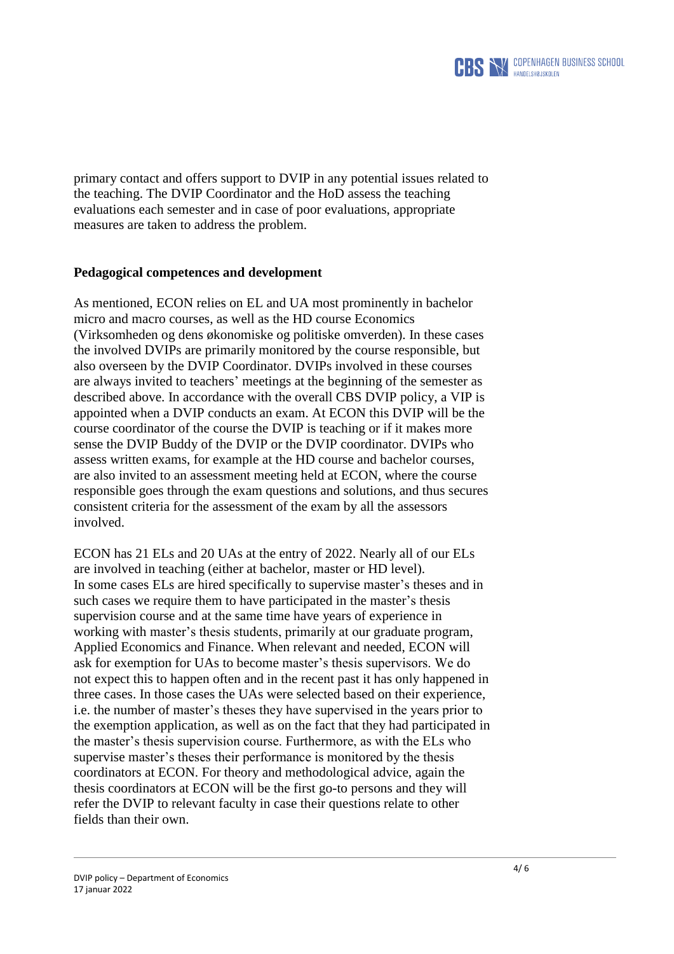

primary contact and offers support to DVIP in any potential issues related to the teaching. The DVIP Coordinator and the HoD assess the teaching evaluations each semester and in case of poor evaluations, appropriate measures are taken to address the problem.

# **Pedagogical competences and development**

As mentioned, ECON relies on EL and UA most prominently in bachelor micro and macro courses, as well as the HD course Economics (Virksomheden og dens økonomiske og politiske omverden). In these cases the involved DVIPs are primarily monitored by the course responsible, but also overseen by the DVIP Coordinator. DVIPs involved in these courses are always invited to teachers' meetings at the beginning of the semester as described above. In accordance with the overall CBS DVIP policy, a VIP is appointed when a DVIP conducts an exam. At ECON this DVIP will be the course coordinator of the course the DVIP is teaching or if it makes more sense the DVIP Buddy of the DVIP or the DVIP coordinator. DVIPs who assess written exams, for example at the HD course and bachelor courses, are also invited to an assessment meeting held at ECON, where the course responsible goes through the exam questions and solutions, and thus secures consistent criteria for the assessment of the exam by all the assessors involved.

ECON has 21 ELs and 20 UAs at the entry of 2022. Nearly all of our ELs are involved in teaching (either at bachelor, master or HD level). In some cases ELs are hired specifically to supervise master's theses and in such cases we require them to have participated in the master's thesis supervision course and at the same time have years of experience in working with master's thesis students, primarily at our graduate program, Applied Economics and Finance. When relevant and needed, ECON will ask for exemption for UAs to become master's thesis supervisors. We do not expect this to happen often and in the recent past it has only happened in three cases. In those cases the UAs were selected based on their experience, i.e. the number of master's theses they have supervised in the years prior to the exemption application, as well as on the fact that they had participated in the master's thesis supervision course. Furthermore, as with the ELs who supervise master's theses their performance is monitored by the thesis coordinators at ECON. For theory and methodological advice, again the thesis coordinators at ECON will be the first go-to persons and they will refer the DVIP to relevant faculty in case their questions relate to other fields than their own.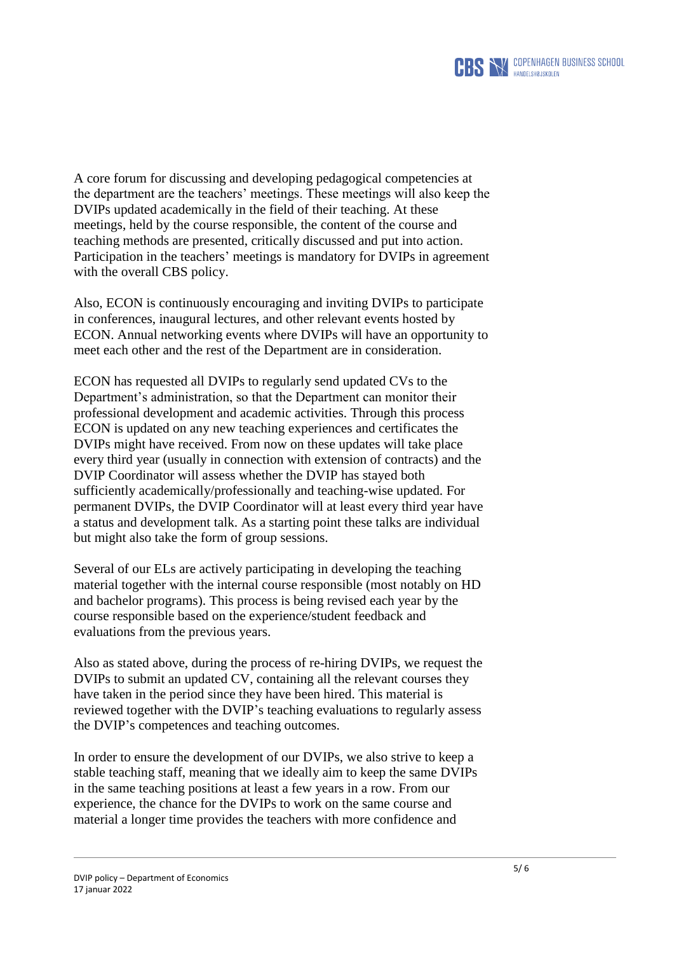

A core forum for discussing and developing pedagogical competencies at the department are the teachers' meetings. These meetings will also keep the DVIPs updated academically in the field of their teaching. At these meetings, held by the course responsible, the content of the course and teaching methods are presented, critically discussed and put into action. Participation in the teachers' meetings is mandatory for DVIPs in agreement with the overall CBS policy.

Also, ECON is continuously encouraging and inviting DVIPs to participate in conferences, inaugural lectures, and other relevant events hosted by ECON. Annual networking events where DVIPs will have an opportunity to meet each other and the rest of the Department are in consideration.

ECON has requested all DVIPs to regularly send updated CVs to the Department's administration, so that the Department can monitor their professional development and academic activities. Through this process ECON is updated on any new teaching experiences and certificates the DVIPs might have received. From now on these updates will take place every third year (usually in connection with extension of contracts) and the DVIP Coordinator will assess whether the DVIP has stayed both sufficiently academically/professionally and teaching-wise updated. For permanent DVIPs, the DVIP Coordinator will at least every third year have a status and development talk. As a starting point these talks are individual but might also take the form of group sessions.

Several of our ELs are actively participating in developing the teaching material together with the internal course responsible (most notably on HD and bachelor programs). This process is being revised each year by the course responsible based on the experience/student feedback and evaluations from the previous years.

Also as stated above, during the process of re-hiring DVIPs, we request the DVIPs to submit an updated CV, containing all the relevant courses they have taken in the period since they have been hired. This material is reviewed together with the DVIP's teaching evaluations to regularly assess the DVIP's competences and teaching outcomes.

In order to ensure the development of our DVIPs, we also strive to keep a stable teaching staff, meaning that we ideally aim to keep the same DVIPs in the same teaching positions at least a few years in a row. From our experience, the chance for the DVIPs to work on the same course and material a longer time provides the teachers with more confidence and